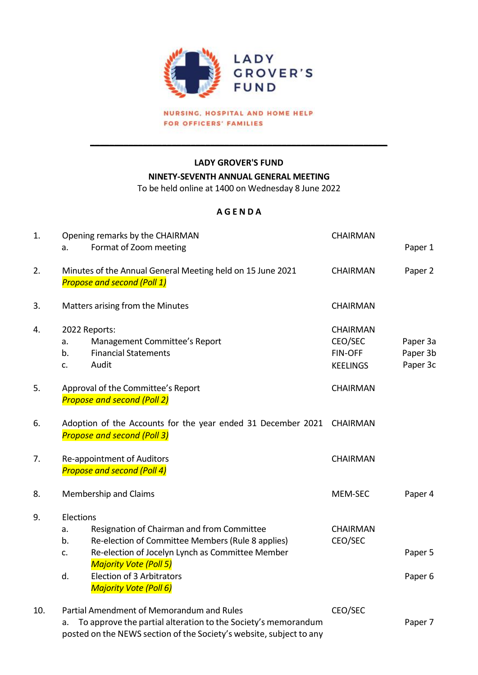

NURSING, HOSPITAL AND HOME HELP FOR OFFICERS' FAMILIES

## **LADY GROVER'S FUND**

**\_\_\_\_\_\_\_\_\_\_\_\_\_\_\_\_\_\_\_\_\_\_\_\_\_\_\_\_\_\_\_\_\_\_\_\_\_\_\_\_\_\_\_\_\_\_\_\_\_\_\_\_\_\_\_\_\_\_\_\_\_\_** 

**NINETY-SEVENTH ANNUAL GENERAL MEETING**

To be held online at 1400 on Wednesday 8 June 2022

## **A G E N D A**

| 1.  | Opening remarks by the CHAIRMAN                                                                                                                                                                                                                                                         | <b>CHAIRMAN</b>                                                 |                                  |
|-----|-----------------------------------------------------------------------------------------------------------------------------------------------------------------------------------------------------------------------------------------------------------------------------------------|-----------------------------------------------------------------|----------------------------------|
|     | Format of Zoom meeting<br>a.                                                                                                                                                                                                                                                            |                                                                 | Paper 1                          |
| 2.  | Minutes of the Annual General Meeting held on 15 June 2021<br><b>Propose and second (Poll 1)</b>                                                                                                                                                                                        | <b>CHAIRMAN</b>                                                 | Paper 2                          |
| 3.  | Matters arising from the Minutes                                                                                                                                                                                                                                                        | <b>CHAIRMAN</b>                                                 |                                  |
| 4.  | 2022 Reports:<br>Management Committee's Report<br>a.<br><b>Financial Statements</b><br>b.<br>Audit<br>c.                                                                                                                                                                                | <b>CHAIRMAN</b><br>CEO/SEC<br><b>FIN-OFF</b><br><b>KEELINGS</b> | Paper 3a<br>Paper 3b<br>Paper 3c |
| 5.  | Approval of the Committee's Report<br><b>Propose and second (Poll 2)</b>                                                                                                                                                                                                                | <b>CHAIRMAN</b>                                                 |                                  |
| 6.  | Adoption of the Accounts for the year ended 31 December 2021 CHAIRMAN<br><b>Propose and second (Poll 3)</b>                                                                                                                                                                             |                                                                 |                                  |
| 7.  | Re-appointment of Auditors<br><b>Propose and second (Poll 4)</b>                                                                                                                                                                                                                        | <b>CHAIRMAN</b>                                                 |                                  |
| 8.  | Membership and Claims                                                                                                                                                                                                                                                                   | MEM-SEC                                                         | Paper 4                          |
| 9.  | Elections<br>Resignation of Chairman and from Committee<br>a.<br>Re-election of Committee Members (Rule 8 applies)<br>b.<br>Re-election of Jocelyn Lynch as Committee Member<br>c.<br><b>Majority Vote (Poll 5)</b><br>Election of 3 Arbitrators<br>d.<br><b>Majority Vote (Poll 6)</b> | <b>CHAIRMAN</b><br>CEO/SEC                                      | Paper 5<br>Paper <sub>6</sub>    |
| 10. | Partial Amendment of Memorandum and Rules<br>To approve the partial alteration to the Society's memorandum<br>a.<br>posted on the NEWS section of the Society's website, subject to any                                                                                                 | CEO/SEC                                                         | Paper 7                          |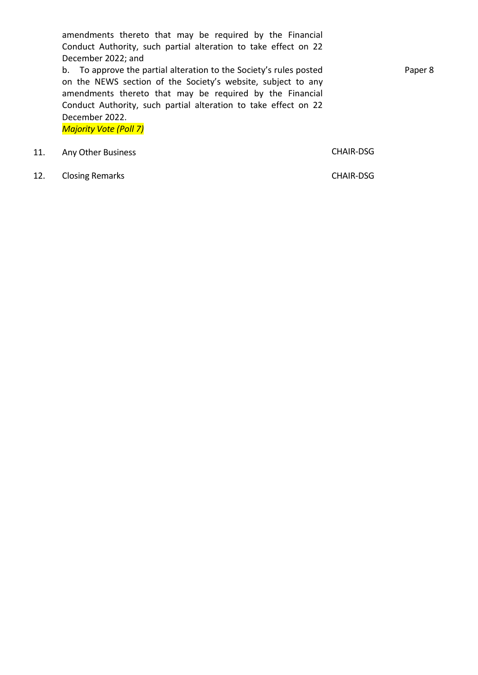amendments thereto that may be required by the Financial Conduct Authority, such partial alteration to take effect on 22 December 2022; and

b. To approve the partial alteration to the Society's rules posted on the NEWS section of the Society's website, subject to any amendments thereto that may be required by the Financial Conduct Authority, such partial alteration to take effect on 22 December 2022. *Majority Vote (Poll 7)*

11. Any Other Business **CHAIR-DSG** 

12. Closing Remarks **CHAIR-DSG** 

Paper 8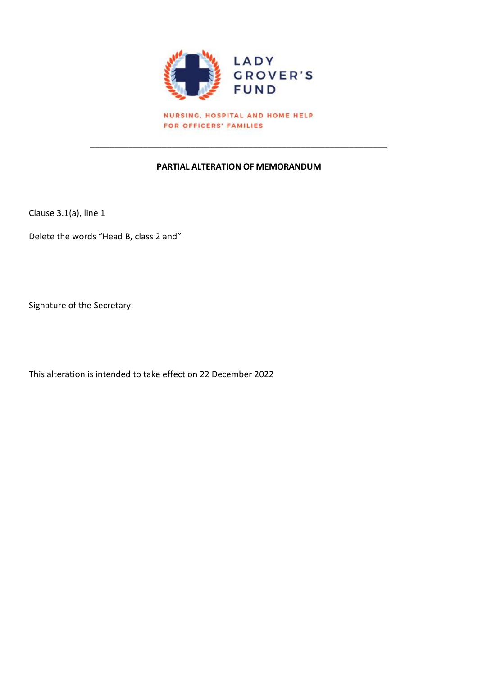

NURSING, HOSPITAL AND HOME HELP FOR OFFICERS' FAMILIES

## **PARTIAL ALTERATION OF MEMORANDUM**

 $\overline{\phantom{a}}$  , and the contract of the contract of the contract of the contract of the contract of the contract of the contract of the contract of the contract of the contract of the contract of the contract of the contrac

Clause 3.1(a), line 1

Delete the words "Head B, class 2 and"

Signature of the Secretary:

This alteration is intended to take effect on 22 December 2022